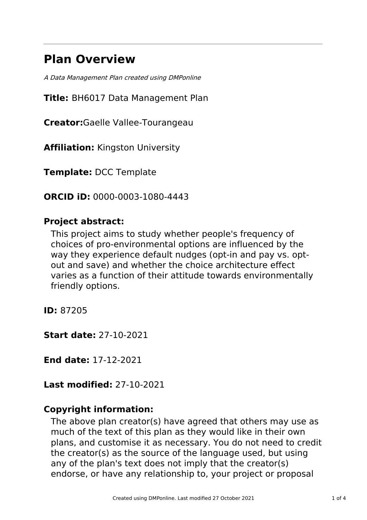# **Plan Overview**

A Data Management Plan created using DMPonline

**Title:** BH6017 Data Management Plan

**Creator:**Gaelle Vallee-Tourangeau

**Affiliation:** Kingston University

**Template:** DCC Template

**ORCID iD:** 0000-0003-1080-4443

# **Project abstract:**

This project aims to study whether people's frequency of choices of pro-environmental options are influenced by the way they experience default nudges (opt-in and pay vs. optout and save) and whether the choice architecture effect varies as a function of their attitude towards environmentally friendly options.

**ID:** 87205

**Start date:** 27-10-2021

**End date:** 17-12-2021

**Last modified:** 27-10-2021

# **Copyright information:**

The above plan creator(s) have agreed that others may use as much of the text of this plan as they would like in their own plans, and customise it as necessary. You do not need to credit the creator(s) as the source of the language used, but using any of the plan's text does not imply that the creator(s) endorse, or have any relationship to, your project or proposal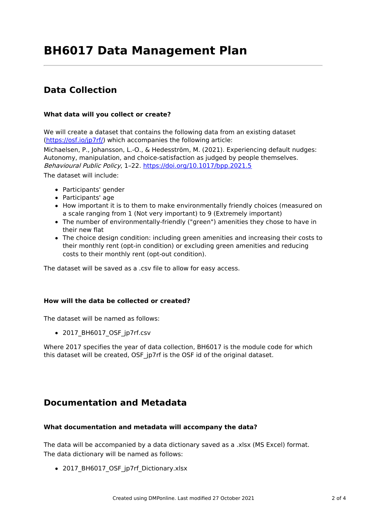# **Data Collection**

#### **What data will you collect or create?**

We will create a dataset that contains the following data from an existing dataset [\(https://osf.io/jp7rf/](https://osf.io/jp7rf/)) which accompanies the following article:

Michaelsen, P., Johansson, L.-O., & Hedesström, M. (2021). Experiencing default nudges: Autonomy, manipulation, and choice-satisfaction as judged by people themselves. Behavioural Public Policy, 1–22. <https://doi.org/10.1017/bpp.2021.5> The dataset will include:

- Participants' gender
- Participants' age
- How important it is to them to make environmentally friendly choices (measured on a scale ranging from 1 (Not very important) to 9 (Extremely important)
- The number of environmentally-friendly ("green") amenities they chose to have in their new flat
- The choice design condition: including green amenities and increasing their costs to their monthly rent (opt-in condition) or excluding green amenities and reducing costs to their monthly rent (opt-out condition).

The dataset will be saved as a .csv file to allow for easy access.

#### **How will the data be collected or created?**

The dataset will be named as follows:

• 2017 BH6017 OSF jp7rf.csv

Where 2017 specifies the year of data collection, BH6017 is the module code for which this dataset will be created, OSF jp7rf is the OSF id of the original dataset.

### **Documentation and Metadata**

#### **What documentation and metadata will accompany the data?**

The data will be accompanied by a data dictionary saved as a .xlsx (MS Excel) format. The data dictionary will be named as follows:

• 2017 BH6017 OSF jp7rf Dictionary.xlsx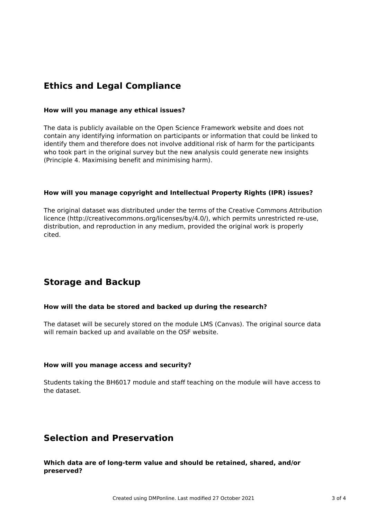# **Ethics and Legal Compliance**

#### **How will you manage any ethical issues?**

The data is publicly available on the Open Science Framework website and does not contain any identifying information on participants or information that could be linked to identify them and therefore does not involve additional risk of harm for the participants who took part in the original survey but the new analysis could generate new insights (Principle 4. Maximising benefit and minimising harm).

#### **How will you manage copyright and Intellectual Property Rights (IPR) issues?**

The original dataset was distributed under the terms of the Creative Commons Attribution licence (http://creativecommons.org/licenses/by/4.0/), which permits unrestricted re-use, distribution, and reproduction in any medium, provided the original work is properly cited.

# **Storage and Backup**

#### **How will the data be stored and backed up during the research?**

The dataset will be securely stored on the module LMS (Canvas). The original source data will remain backed up and available on the OSF website.

#### **How will you manage access and security?**

Students taking the BH6017 module and staff teaching on the module will have access to the dataset.

### **Selection and Preservation**

#### **Which data are of long-term value and should be retained, shared, and/or preserved?**